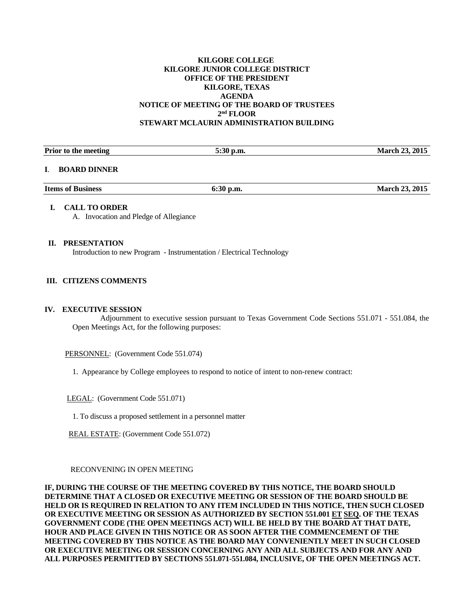## **KILGORE COLLEGE KILGORE JUNIOR COLLEGE DISTRICT OFFICE OF THE PRESIDENT KILGORE, TEXAS AGENDA NOTICE OF MEETING OF THE BOARD OF TRUSTEES 2nd FLOOR STEWART MCLAURIN ADMINISTRATION BUILDING**

| Prior to the meeting     | $5:30$ p.m. | <b>March 23, 2015</b> |
|--------------------------|-------------|-----------------------|
| I. BOARD DINNER          |             |                       |
| <b>Items of Business</b> | $6:30$ p.m. | <b>March 23, 2015</b> |
| <b>CALL TO ORDER</b>     |             |                       |

A. Invocation and Pledge of Allegiance

#### **II. PRESENTATION**

Introduction to new Program - Instrumentation / Electrical Technology

## **III. CITIZENS COMMENTS**

#### **IV. EXECUTIVE SESSION**

 Adjournment to executive session pursuant to Texas Government Code Sections 551.071 - 551.084, the Open Meetings Act, for the following purposes:

PERSONNEL: (Government Code 551.074)

1. Appearance by College employees to respond to notice of intent to non-renew contract:

LEGAL: (Government Code 551.071)

1. To discuss a proposed settlement in a personnel matter

REAL ESTATE: (Government Code 551.072)

#### RECONVENING IN OPEN MEETING

**IF, DURING THE COURSE OF THE MEETING COVERED BY THIS NOTICE, THE BOARD SHOULD DETERMINE THAT A CLOSED OR EXECUTIVE MEETING OR SESSION OF THE BOARD SHOULD BE HELD OR IS REQUIRED IN RELATION TO ANY ITEM INCLUDED IN THIS NOTICE, THEN SUCH CLOSED OR EXECUTIVE MEETING OR SESSION AS AUTHORIZED BY SECTION 551.001 ET SEQ. OF THE TEXAS GOVERNMENT CODE (THE OPEN MEETINGS ACT) WILL BE HELD BY THE BOARD AT THAT DATE, HOUR AND PLACE GIVEN IN THIS NOTICE OR AS SOON AFTER THE COMMENCEMENT OF THE MEETING COVERED BY THIS NOTICE AS THE BOARD MAY CONVENIENTLY MEET IN SUCH CLOSED OR EXECUTIVE MEETING OR SESSION CONCERNING ANY AND ALL SUBJECTS AND FOR ANY AND ALL PURPOSES PERMITTED BY SECTIONS 551.071-551.084, INCLUSIVE, OF THE OPEN MEETINGS ACT.**